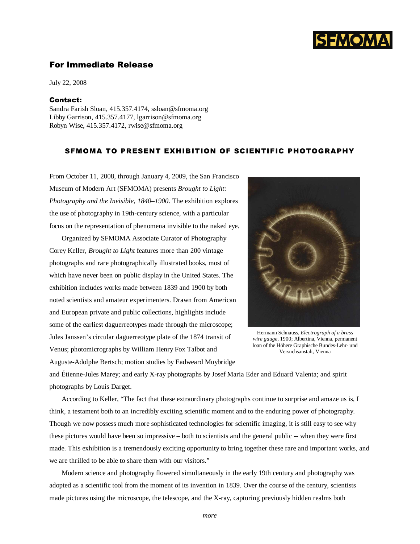

## For Immediate Release

July 22, 2008

## Contact:

Sandra Farish Sloan, 415.357.4174, ssloan@sfmoma.org Libby Garrison, 415.357.4177, lgarrison@sfmoma.org Robyn Wise, 415.357.4172, rwise@sfmoma.org

## SFMOMA TO PRESENT EXHIBITION OF SCIENTIFIC PHOTOGRAPHY

From October 11, 2008, through January 4, 2009, the San Francisco Museum of Modern Art (SFMOMA) presents *Brought to Light: Photography and the Invisible, 1840–1900*. The exhibition explores the use of photography in 19th-century science, with a particular focus on the representation of phenomena invisible to the naked eye.

Organized by SFMOMA Associate Curator of Photography Corey Keller, *Brought to Light* features more than 200 vintage photographs and rare photographically illustrated books, most of which have never been on public display in the United States. The exhibition includes works made between 1839 and 1900 by both noted scientists and amateur experimenters. Drawn from American and European private and public collections, highlights include some of the earliest daguerreotypes made through the microscope; Jules Janssen's circular daguerreotype plate of the 1874 transit of Venus; photomicrographs by William Henry Fox Talbot and Auguste-Adolphe Bertsch; motion studies by Eadweard Muybridge



Hermann Schnauss, *Electrograph of a brass wire gauge*, 1900; Albertina, Vienna, permanent loan of the Höhere Graphische Bundes-Lehr- und Versuchsanstalt, Vienna

and Étienne-Jules Marey; and early X-ray photographs by Josef Maria Eder and Eduard Valenta; and spirit photographs by Louis Darget.

According to Keller, "The fact that these extraordinary photographs continue to surprise and amaze us is, I think, a testament both to an incredibly exciting scientific moment and to the enduring power of photography. Though we now possess much more sophisticated technologies for scientific imaging, it is still easy to see why these pictures would have been so impressive – both to scientists and the general public -- when they were first made. This exhibition is a tremendously exciting opportunity to bring together these rare and important works, and we are thrilled to be able to share them with our visitors."

Modern science and photography flowered simultaneously in the early 19th century and photography was adopted as a scientific tool from the moment of its invention in 1839. Over the course of the century, scientists made pictures using the microscope, the telescope, and the X-ray, capturing previously hidden realms both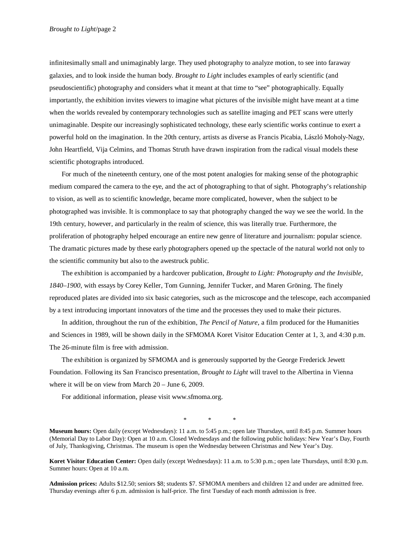infinitesimally small and unimaginably large. They used photography to analyze motion, to see into faraway galaxies, and to look inside the human body. *Brought to Light* includes examples of early scientific (and pseudoscientific) photography and considers what it meant at that time to "see" photographically. Equally importantly, the exhibition invites viewers to imagine what pictures of the invisible might have meant at a time when the worlds revealed by contemporary technologies such as satellite imaging and PET scans were utterly unimaginable. Despite our increasingly sophisticated technology, these early scientific works continue to exert a powerful hold on the imagination. In the 20th century, artists as diverse as Francis Picabia, László Moholy-Nagy, John Heartfield, Vija Celmins, and Thomas Struth have drawn inspiration from the radical visual models these scientific photographs introduced.

For much of the nineteenth century, one of the most potent analogies for making sense of the photographic medium compared the camera to the eye, and the act of photographing to that of sight. Photography's relationship to vision, as well as to scientific knowledge, became more complicated, however, when the subject to be photographed was invisible. It is commonplace to say that photography changed the way we see the world. In the 19th century, however, and particularly in the realm of science, this was literally true. Furthermore, the proliferation of photography helped encourage an entire new genre of literature and journalism: popular science. The dramatic pictures made by these early photographers opened up the spectacle of the natural world not only to the scientific community but also to the awestruck public.

The exhibition is accompanied by a hardcover publication, *Brought to Light: Photography and the Invisible, 1840–1900*, with essays by Corey Keller, Tom Gunning, Jennifer Tucker, and Maren Gröning. The finely reproduced plates are divided into six basic categories, such as the microscope and the telescope, each accompanied by a text introducing important innovators of the time and the processes they used to make their pictures.

In addition, throughout the run of the exhibition, *The Pencil of Nature*, a film produced for the Humanities and Sciences in 1989, will be shown daily in the SFMOMA Koret Visitor Education Center at 1, 3, and 4:30 p.m. The 26-minute film is free with admission.

The exhibition is organized by SFMOMA and is generously supported by the George Frederick Jewett Foundation. Following its San Francisco presentation, *Brought to Light* will travel to the Albertina in Vienna where it will be on view from March 20 – June 6, 2009.

For additional information, please visit www.sfmoma.org.

\* \* \*

**Museum hours:** Open daily (except Wednesdays): 11 a.m. to 5:45 p.m.; open late Thursdays, until 8:45 p.m. Summer hours (Memorial Day to Labor Day): Open at 10 a.m. Closed Wednesdays and the following public holidays: New Year's Day, Fourth of July, Thanksgiving, Christmas. The museum is open the Wednesday between Christmas and New Year's Day.

**Koret Visitor Education Center:** Open daily (except Wednesdays): 11 a.m. to 5:30 p.m.; open late Thursdays, until 8:30 p.m. Summer hours: Open at 10 a.m.

**Admission prices:** Adults \$12.50; seniors \$8; students \$7. SFMOMA members and children 12 and under are admitted free. Thursday evenings after 6 p.m. admission is half-price. The first Tuesday of each month admission is free.